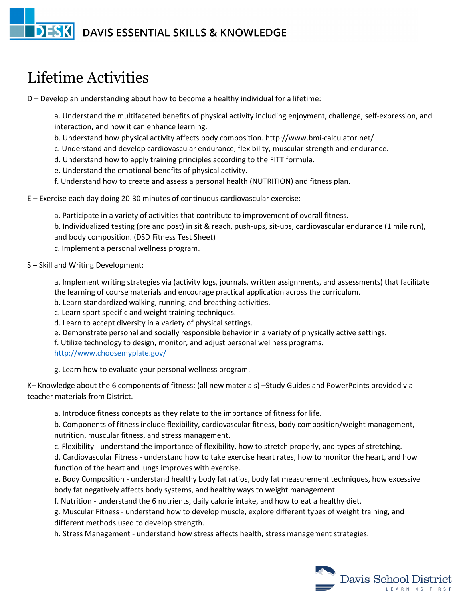## **DESK** DAVIS ESSENTIAL SKILLS & KNOWLEDGE

## Lifetime Activities

D – Develop an understanding about how to become a healthy individual for a lifetime:

a. Understand the multifaceted benefits of physical activity including enjoyment, challenge, self-expression, and interaction, and how it can enhance learning.

- b. Understand how physical activity affects body composition. http://www.bmi-calculator.net/
- c. Understand and develop cardiovascular endurance, flexibility, muscular strength and endurance.
- d. Understand how to apply training principles according to the FITT formula.
- e. Understand the emotional benefits of physical activity.
- f. Understand how to create and assess a personal health (NUTRITION) and fitness plan.
- E Exercise each day doing 20-30 minutes of continuous cardiovascular exercise:
	- a. Participate in a variety of activities that contribute to improvement of overall fitness. b. Individualized testing (pre and post) in sit & reach, push-ups, sit-ups, cardiovascular endurance (1 mile run), and body composition. (DSD Fitness Test Sheet) c. Implement a personal wellness program.

S – Skill and Writing Development:

a. Implement writing strategies via (activity logs, journals, written assignments, and assessments) that facilitate the learning of course materials and encourage practical application across the curriculum.

- b. Learn standardized walking, running, and breathing activities.
- c. Learn sport specific and weight training techniques.
- d. Learn to accept diversity in a variety of physical settings.
- e. Demonstrate personal and socially responsible behavior in a variety of physically active settings.
- f. Utilize technology to design, monitor, and adjust personal wellness programs.
- <http://www.choosemyplate.gov/>

g. Learn how to evaluate your personal wellness program.

K– Knowledge about the 6 components of fitness: (all new materials) –Study Guides and PowerPoints provided via teacher materials from District.

a. Introduce fitness concepts as they relate to the importance of fitness for life.

b. Components of fitness include flexibility, cardiovascular fitness, body composition/weight management, nutrition, muscular fitness, and stress management.

c. Flexibility - understand the importance of flexibility, how to stretch properly, and types of stretching.

d. Cardiovascular Fitness - understand how to take exercise heart rates, how to monitor the heart, and how function of the heart and lungs improves with exercise.

e. Body Composition - understand healthy body fat ratios, body fat measurement techniques, how excessive body fat negatively affects body systems, and healthy ways to weight management.

f. Nutrition - understand the 6 nutrients, daily calorie intake, and how to eat a healthy diet.

g. Muscular Fitness - understand how to develop muscle, explore different types of weight training, and different methods used to develop strength.

h. Stress Management - understand how stress affects health, stress management strategies.